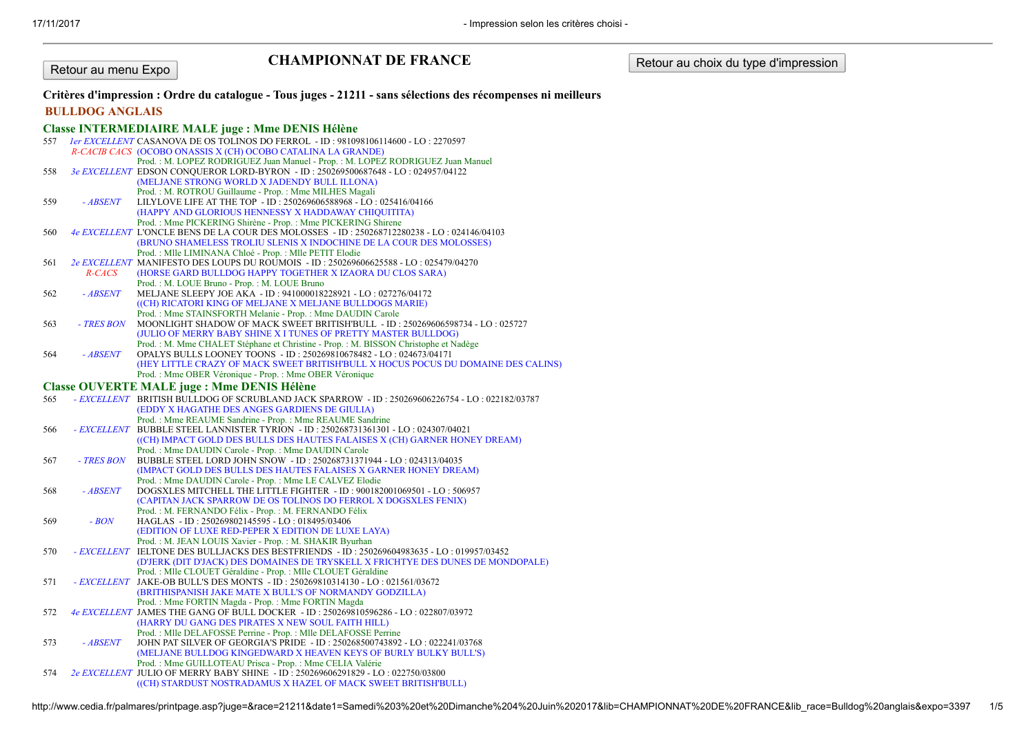#### Retour au menu Expo

## CHAMPIONNAT DE FRANCE Retour au choix du type d'impression

# Critères d'impression : Ordre du catalogue - Tous juges - 21211 - sans sélections des récompenses ni meilleurs

#### BULLDOG ANGLAIS

### Classe INTERMEDIAIRE MALE juge : Mme DENIS Hélène

|     |            | <u>senare</u> same jego v samo e estas moro                                                    |
|-----|------------|------------------------------------------------------------------------------------------------|
| 557 |            | <i>ler EXCELLENT</i> CASANOVA DE OS TOLINOS DO FERROL - ID: 981098106114600 - LO: 2270597      |
|     |            | R-CACIB CACS (OCOBO ONASSIS X (CH) OCOBO CATALINA LA GRANDE)                                   |
|     |            | Prod.: M. LOPEZ RODRIGUEZ Juan Manuel - Prop.: M. LOPEZ RODRIGUEZ Juan Manuel                  |
| 558 |            | 3e EXCELLENT EDSON CONQUEROR LORD-BYRON - ID: 250269500687648 - LO: 024957/04122               |
|     |            | (MELJANE STRONG WORLD X JADENDY BULL ILLONA)                                                   |
|     |            | Prod.: M. ROTROU Guillaume - Prop.: Mme MILHES Magali                                          |
| 559 | - ABSENT   | LILYLOVE LIFE AT THE TOP - ID: 250269606588968 - LO: 025416/04166                              |
|     |            | (HAPPY AND GLORIOUS HENNESSY X HADDAWAY CHIQUITITA)                                            |
|     |            | Prod.: Mme PICKERING Shirène - Prop.: Mme PICKERING Shirene                                    |
| 560 |            | 4e EXCELLENT L'ONCLE BENS DE LA COUR DES MOLOSSES - ID: 250268712280238 - LO: 024146/04103     |
|     |            | (BRUNO SHAMELESS TROLIU SLENIS X INDOCHINE DE LA COUR DES MOLOSSES)                            |
|     |            | Prod.: Mlle LIMINANA Chloé - Prop.: Mlle PETIT Elodie                                          |
| 561 |            | 2e EXCELLENT MANIFESTO DES LOUPS DU ROUMOIS - ID: 250269606625588 - LO: 025479/04270           |
|     | R-CACS     | (HORSE GARD BULLDOG HAPPY TOGETHER X IZAORA DU CLOS SARA)                                      |
|     |            | Prod.: M. LOUE Bruno - Prop.: M. LOUE Bruno                                                    |
| 562 | - ABSENT   | MELJANE SLEEPY JOE AKA - ID: 941000018228921 - LO: 027276/04172                                |
|     |            | ((CH) RICATORI KING OF MELJANE X MELJANE BULLDOGS MARIE)                                       |
|     |            | Prod.: Mme STAINSFORTH Melanie - Prop.: Mme DAUDIN Carole                                      |
| 563 | - TRES BON | MOONLIGHT SHADOW OF MACK SWEET BRITISH'BULL - ID: 250269606598734 - LO: 025727                 |
|     |            | (JULIO OF MERRY BABY SHINE X I TUNES OF PRETTY MASTER BULLDOG)                                 |
|     |            | Prod.: M. Mme CHALET Stéphane et Christine - Prop.: M. BISSON Christophe et Nadège             |
| 564 | - ABSENT   | OPALYS BULLS LOONEY TOONS - ID: 250269810678482 - LO: 024673/04171                             |
|     |            | (HEY LITTLE CRAZY OF MACK SWEET BRITISH'BULL X HOCUS POCUS DU DOMAINE DES CALINS)              |
|     |            | Prod.: Mme OBER Véronique - Prop.: Mme OBER Véronique                                          |
|     |            | <b>Classe OUVERTE MALE juge : Mme DENIS Hélène</b>                                             |
| 565 |            | - EXCELLENT BRITISH BULLDOG OF SCRUBLAND JACK SPARROW - ID: 250269606226754 - LO: 022182/03787 |
|     |            | (EDDY X HAGATHE DES ANGES GARDIENS DE GIULIA)                                                  |
|     |            | Prod.: Mme REAUME Sandrine - Prop.: Mme REAUME Sandrine                                        |
| 566 |            | - EXCELLENT BUBBLE STEEL LANNISTER TYRION - ID: 250268731361301 - LO: 024307/04021             |
|     |            | ((CH) IMPACT GOLD DES BULLS DES HAUTES FALAISES X (CH) GARNER HONEY DREAM)                     |
|     |            | Prod.: Mme DAUDIN Carole - Prop.: Mme DAUDIN Carole                                            |
| 567 | - TRES BON | BUBBLE STEEL LORD JOHN SNOW - ID: 250268731371944 - LO: 024313/04035                           |
|     |            | (IMPACT GOLD DES BULLS DES HAUTES FALAISES X GARNER HONEY DREAM)                               |
|     |            | Prod.: Mme DAUDIN Carole - Prop.: Mme LE CALVEZ Elodie                                         |
| 568 | - ABSENT   | DOGSXLES MITCHELL THE LITTLE FIGHTER - ID: 900182001069501 - LO: 506957                        |
|     |            | (CAPITAN JACK SPARROW DE OS TOLINOS DO FERROL X DOGSXLES FENIX)                                |
|     |            | Prod.: M. FERNANDO Félix - Prop.: M. FERNANDO Félix                                            |
| 569 | $- BON$    | HAGLAS - ID: 250269802145595 - LO: 018495/03406                                                |
|     |            | (EDITION OF LUXE RED-PEPER X EDITION DE LUXE LAYA)                                             |
|     |            | Prod.: M. JEAN LOUIS Xavier - Prop.: M. SHAKIR Byurhan                                         |
| 570 |            | - EXCELLENT IELTONE DES BULLJACKS DES BESTFRIENDS - ID: 250269604983635 - LO: 019957/03452     |
|     |            | (D'JERK (DIT D'JACK) DES DOMAINES DE TRYSKELL X FRICHTYE DES DUNES DE MONDOPALE)               |
|     |            | Prod.: Mlle CLOUET Géraldine - Prop.: Mlle CLOUET Géraldine                                    |
| 571 |            | - EXCELLENT JAKE-OB BULL'S DES MONTS - ID: 250269810314130 - LO: 021561/03672                  |
|     |            | (BRITHISPANISH JAKE MATE X BULL'S OF NORMANDY GODZILLA)                                        |
|     |            | Prod.: Mme FORTIN Magda - Prop.: Mme FORTIN Magda                                              |
| 572 |            | 4e EXCELLENT JAMES THE GANG OF BULL DOCKER - ID: 250269810596286 - LO: 022807/03972            |
|     |            | (HARRY DU GANG DES PIRATES X NEW SOUL FAITH HILL)                                              |
|     |            | Prod.: Mlle DELAFOSSE Perrine - Prop.: Mlle DELAFOSSE Perrine                                  |
| 573 | - ABSENT   | JOHN PAT SILVER OF GEORGIA'S PRIDE - ID: 250268500743892 - LO: 022241/03768                    |
|     |            | (MELJANE BULLDOG KINGEDWARD X HEAVEN KEYS OF BURLY BULKY BULL'S)                               |
|     |            | Prod.: Mme GUILLOTEAU Prisca - Prop.: Mme CELIA Valérie                                        |
| 574 |            | 2e EXCELLENT JULIO OF MERRY BABY SHINE - ID: 250269606291829 - LO: 022750/03800                |
|     |            | ((CH) STARDUST NOSTRADAMUS X HAZEL OF MACK SWEET BRITISH'BULL)                                 |

http://www.cedia.fr/palmares/printpage.asp?juge=&race=21211&date1=Samedi%203%20et%20Dimanche%204%20Juin%202017&lib=CHAMPIONNAT%20DE%20FRANCE&lib\_race=Bulldog%20anglais&expo=3397 1/5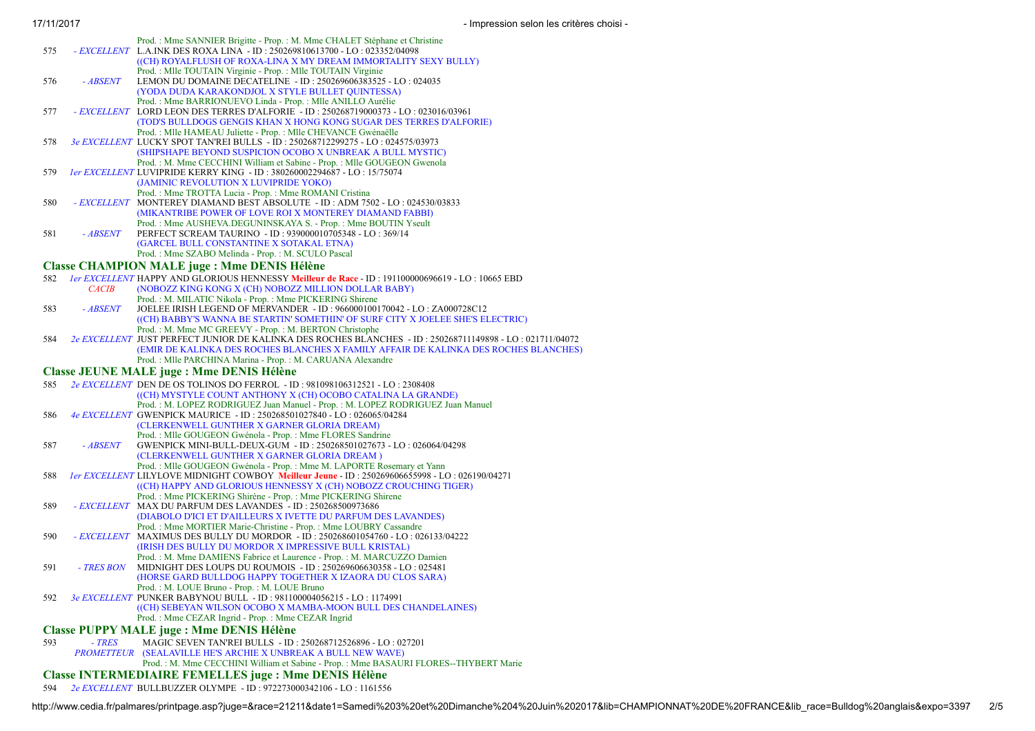| 17/11/2017 |            | - Impression selon les critèr                                                                                                                                                                                                                                                           |
|------------|------------|-----------------------------------------------------------------------------------------------------------------------------------------------------------------------------------------------------------------------------------------------------------------------------------------|
| 575        |            | Prod. : Mme SANNIER Brigitte - Prop. : M. Mme CHALET Stéphane et Christine<br>- EXCELLENT L.A.INK DES ROXA LINA - ID: 250269810613700 - LO: 023352/04098<br>((CH) ROYALFLUSH OF ROXA-LINA X MY DREAM IMMORTALITY SEXY BULLY)                                                            |
| 576        | - ABSENT   | Prod.: Mlle TOUTAIN Virginie - Prop.: Mlle TOUTAIN Virginie<br>LEMON DU DOMAINE DECATELINE - ID: 250269606383525 - LO: 024035                                                                                                                                                           |
|            |            | (YODA DUDA KARAKONDJOL X STYLE BULLET QUINTESSA)<br>Prod.: Mme BARRIONUEVO Linda - Prop.: Mlle ANILLO Aurélie                                                                                                                                                                           |
| 577        |            | - EXCELLENT LORD LEON DES TERRES D'ALFORIE - ID : 250268719000373 - LO : 023016/03961<br>(TOD'S BULLDOGS GENGIS KHAN X HONG KONG SUGAR DES TERRES D'ALFORIE)                                                                                                                            |
| 578        |            | Prod.: Mlle HAMEAU Juliette - Prop.: Mlle CHEVANCE Gwénaëlle<br>3e EXCELLENT LUCKY SPOT TAN'REI BULLS - ID: 250268712299275 - LO: 024575/03973<br>(SHIPSHAPE BEYOND SUSPICION OCOBO X UNBREAK A BULL MYSTIC)                                                                            |
| 579        |            | Prod.: M. Mme CECCHINI William et Sabine - Prop.: Mlle GOUGEON Gwenola<br><i>ler EXCELLENT LUVIPRIDE KERRY KING - ID: 380260002294687 - LO: 15/75074</i>                                                                                                                                |
|            |            | (JAMINIC REVOLUTION X LUVIPRIDE YOKO)<br>Prod.: Mme TROTTA Lucia - Prop.: Mme ROMANI Cristina                                                                                                                                                                                           |
| 580        |            | - EXCELLENT MONTEREY DIAMAND BEST ABSOLUTE - ID : ADM 7502 - LO : 024530/03833<br>(MIKANTRIBE POWER OF LOVE ROI X MONTEREY DIAMAND FABBI)                                                                                                                                               |
| 581        | - ABSENT   | Prod.: Mme AUSHEVA.DEGUNINSKAYA S. - Prop.: Mme BOUTIN Yseult<br>PERFECT SCREAM TAURINO - ID: 939000010705348 - LO: 369/14<br>(GARCEL BULL CONSTANTINE X SOTAKAL ETNA)                                                                                                                  |
|            |            | Prod.: Mme SZABO Melinda - Prop.: M. SCULO Pascal<br><b>Classe CHAMPION MALE juge: Mme DENIS Hélène</b>                                                                                                                                                                                 |
| 582        |            | 1er EXCELLENT HAPPY AND GLORIOUS HENNESSY Meilleur de Race - ID: 191100000696619 - LO: 10665 EBD                                                                                                                                                                                        |
|            | CACIB      | (NOBOZZ KING KONG X (CH) NOBOZZ MILLION DOLLAR BABY)                                                                                                                                                                                                                                    |
| 583        | $-$ ABSENT | Prod.: M. MILATIC Nikola - Prop.: Mme PICKERING Shirene<br>JOELEE IRISH LEGEND OF MERVANDER - ID: 966000100170042 - LO: ZA000728C12<br>((CH) BABBY'S WANNA BE STARTIN' SOMETHIN' OF SURF CITY X JOELEE SHE'S ELECTRIC)                                                                  |
| 584        |            | Prod.: M. Mme MC GREEVY - Prop.: M. BERTON Christophe<br>2e EXCELLENT JUST PERFECT JUNIOR DE KALINKA DES ROCHES BLANCHES - ID: 250268711149898 - LO: 021711/04072<br>(EMIR DE KALINKA DES ROCHES BLANCHES X FAMILY AFFAIR DE KALINKA DES ROCHES BLANCHES)                               |
|            |            | Prod.: Mlle PARCHINA Marina - Prop.: M. CARUANA Alexandre                                                                                                                                                                                                                               |
|            |            | <b>Classe JEUNE MALE juge : Mme DENIS Hélène</b>                                                                                                                                                                                                                                        |
| 585        |            | 2e EXCELLENT DEN DE OS TOLINOS DO FERROL - ID: 981098106312521 - LO: 2308408<br>((CH) MYSTYLE COUNT ANTHONY X (CH) OCOBO CATALINA LA GRANDE)<br>Prod.: M. LOPEZ RODRIGUEZ Juan Manuel - Prop.: M. LOPEZ RODRIGUEZ Juan Manuel                                                           |
| 586        |            | 4e EXCELLENT GWENPICK MAURICE - ID: 250268501027840 - LO: 026065/04284<br>(CLERKENWELL GUNTHER X GARNER GLORIA DREAM)                                                                                                                                                                   |
| 587        | - ABSENT   | Prod.: Mlle GOUGEON Gwénola - Prop.: Mme FLORES Sandrine<br>GWENPICK MINI-BULL-DEUX-GUM - ID: 250268501027673 - LO: 026064/04298<br>(CLERKENWELL GUNTHER X GARNER GLORIA DREAM)                                                                                                         |
| 588        |            | Prod.: Mille GOUGEON Gwénola - Prop.: Mme M. LAPORTE Rosemary et Yann<br>1er EXCELLENT LILYLOVE MIDNIGHT COWBOY Meilleur Jeune - ID: 250269606655998 - LO: 026190/04271<br>((CH) HAPPY AND GLORIOUS HENNESSY X (CH) NOBOZZ CROUCHING TIGER)                                             |
| 589        |            | Prod.: Mme PICKERING Shirène - Prop.: Mme PICKERING Shirene<br>- EXCELLENT MAX DU PARFUM DES LAVANDES - ID: 250268500973686                                                                                                                                                             |
| 590        |            | (DIABOLO D'ICI ET D'AILLEURS X IVETTE DU PARFUM DES LAVANDES)<br>Prod.: Mme MORTIER Marie-Christine - Prop.: Mme LOUBRY Cassandre<br>- <i>EXCELLENT</i> MAXIMUS DES BULLY DU MORDOR - ID : 250268601054760 - LO : 026133/04222<br>(IRISH DES BULLY DU MORDOR X IMPRESSIVE BULL KRISTAL) |
| 591        | - TRES BON | Prod.: M. Mme DAMIENS Fabrice et Laurence - Prop.: M. MARCUZZO Damien<br>MIDNIGHT DES LOUPS DU ROUMOIS - ID : 250269606630358 - LO : 025481<br>(HORSE GARD BULLDOG HAPPY TOGETHER X IZAORA DU CLOS SARA)                                                                                |
|            |            | Prod.: M. LOUE Bruno - Prop.: M. LOUE Bruno                                                                                                                                                                                                                                             |

592 *3e EXCELLENT* PUNKER BABYNOU BULL - ID : 981100004056215 - LO : 1174991 ((CH) SEBEYAN WILSON OCOBO X MAMBA-MOON BULL DES CHANDELAINES) Prod. : Mme CEZAR Ingrid - Prop. : Mme CEZAR Ingrid

#### Classe PUPPY MALE juge : Mme DENIS Hélène

593 *- TRES PROMETTEUR* (SEALAVILLE HE'S ARCHIE X UNBREAK A BULL NEW WAVE) MAGIC SEVEN TAN'REI BULLS - ID : 250268712526896 - LO : 027201 Prod. : M. Mme CECCHINI William et Sabine - Prop. : Mme BASAURI FLORES--THYBERT Marie

#### Classe INTERMEDIAIRE FEMELLES juge : Mme DENIS Hélène

594 *2e EXCELLENT* BULLBUZZER OLYMPE - ID : 972273000342106 - LO : 1161556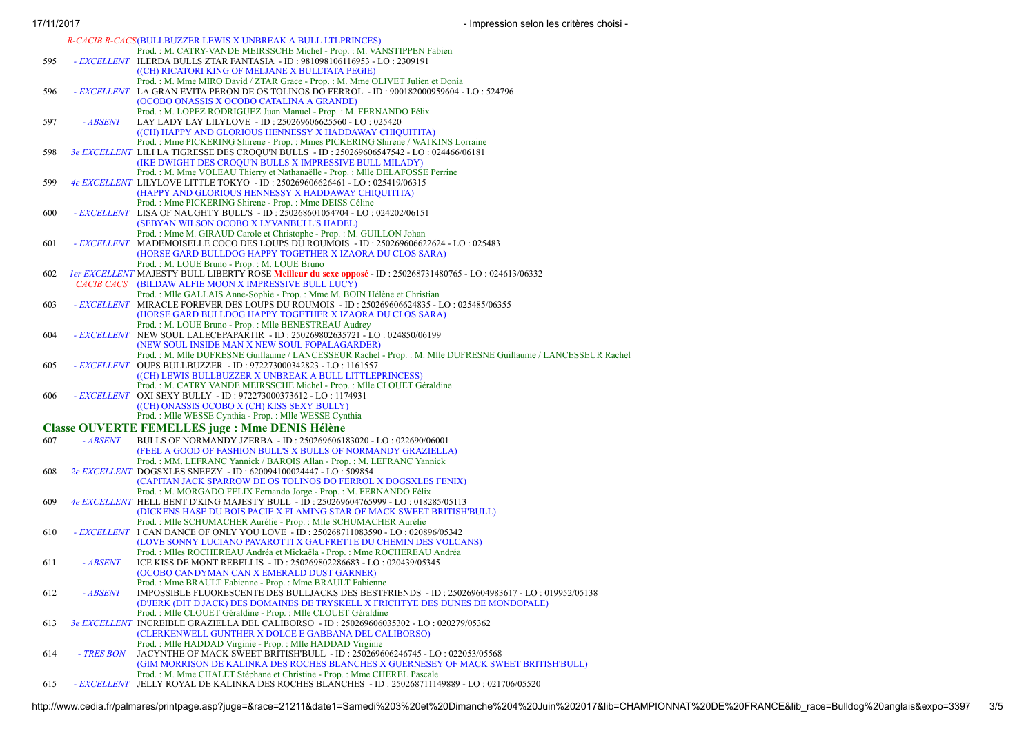|     |            | R-CACIB R-CACS(BULLBUZZER LEWIS X UNBREAK A BULL LTLPRINCES)                                                                                              |
|-----|------------|-----------------------------------------------------------------------------------------------------------------------------------------------------------|
|     |            | Prod.: M. CATRY-VANDE MEIRSSCHE Michel - Prop.: M. VANSTIPPEN Fabien                                                                                      |
| 595 |            | - <i>EXCELLENT</i> ILERDA BULLS ZTAR FANTASIA - ID : 981098106116953 - LO : 2309191                                                                       |
|     |            | ((CH) RICATORI KING OF MELJANE X BULLTATA PEGIE)                                                                                                          |
|     |            | Prod.: M. Mme MIRO David / ZTAR Grace - Prop.: M. Mme OLIVET Julien et Donia                                                                              |
| 596 |            | - EXCELLENT LA GRAN EVITA PERON DE OS TOLINOS DO FERROL - ID : 900182000959604 - LO : 524796                                                              |
|     |            | (OCOBO ONASSIS X OCOBO CATALINA A GRANDE)                                                                                                                 |
|     |            | Prod.: M. LOPEZ RODRIGUEZ Juan Manuel - Prop.: M. FERNANDO Félix                                                                                          |
| 597 | - ABSENT   | LAY LADY LAY LILYLOVE - ID: 250269606625560 - LO: 025420                                                                                                  |
|     |            | ((CH) HAPPY AND GLORIOUS HENNESSY X HADDAWAY CHIQUITITA)                                                                                                  |
|     |            | Prod.: Mme PICKERING Shirene - Prop.: Mmes PICKERING Shirene / WATKINS Lorraine                                                                           |
| 598 |            | 3e EXCELLENT  LILI LA TIGRESSE DES CROQU'N BULLS  - ID : 250269606547542 - LO : 024466/06181                                                              |
|     |            | (IKE DWIGHT DES CROQU'N BULLS X IMPRESSIVE BULL MILADY)                                                                                                   |
|     |            | Prod.: M. Mme VOLEAU Thierry et Nathanaëlle - Prop.: Mlle DELAFOSSE Perrine                                                                               |
| 599 |            | 4e EXCELLENT LILYLOVE LITTLE TOKYO - ID: 250269606626461 - LO: 025419/06315                                                                               |
|     |            | (HAPPY AND GLORIOUS HENNESSY X HADDAWAY CHIQUITITA)<br>Prod.: Mme PICKERING Shirene - Prop.: Mme DEISS Céline                                             |
| 600 |            | - EXCELLENT LISA OF NAUGHTY BULL'S - ID: 250268601054704 - LO: 024202/06151                                                                               |
|     |            | (SEBYAN WILSON OCOBO X LYVANBULL'S HADEL)                                                                                                                 |
|     |            | Prod.: Mme M. GIRAUD Carole et Christophe - Prop.: M. GUILLON Johan                                                                                       |
| 601 |            | - EXCELLENT MADEMOISELLE COCO DES LOUPS DU ROUMOIS - ID : 250269606622624 - LO : 025483                                                                   |
|     |            | (HORSE GARD BULLDOG HAPPY TOGETHER X IZAORA DU CLOS SARA)                                                                                                 |
|     |            | Prod.: M. LOUE Bruno - Prop.: M. LOUE Bruno                                                                                                               |
| 602 |            | <i>ler EXCELLENT</i> MAJESTY BULL LIBERTY ROSE <b>Meilleur du sexe opposé</b> - ID : 250268731480765 - LO : 024613/06332                                  |
|     |            | CACIB CACS (BILDAW ALFIE MOON X IMPRESSIVE BULL LUCY)                                                                                                     |
|     |            | Prod. : Mlle GALLAIS Anne-Sophie - Prop. : Mme M. BOIN Hélène et Christian                                                                                |
| 603 |            | - EXCELLENT MIRACLE FOREVER DES LOUPS DU ROUMOIS - ID : 250269606624835 - LO : 025485/06355                                                               |
|     |            | (HORSE GARD BULLDOG HAPPY TOGETHER X IZAORA DU CLOS SARA)                                                                                                 |
|     |            | Prod.: M. LOUE Bruno - Prop.: Mile BENESTREAU Audrey                                                                                                      |
| 604 |            | - EXCELLENT NEW SOUL LALECEPAPARTIR - ID: 250269802635721 - LO: 024850/06199                                                                              |
|     |            | (NEW SOUL INSIDE MAN X NEW SOUL FOPALAGARDER)                                                                                                             |
|     |            | Prod.: M. Mile DUFRESNE Guillaume / LANCESSEUR Rachel - Prop.: M. Mile DUFRESNE Guillaume / LANCESSEUR Rachel                                             |
| 605 |            | - <i>EXCELLENT</i> OUPS BULLBUZZER - ID: 972273000342823 - LO: 1161557                                                                                    |
|     |            | ((CH) LEWIS BULLBUZZER X UNBREAK A BULL LITTLEPRINCESS)                                                                                                   |
| 606 |            | Prod.: M. CATRY VANDE MEIRSSCHE Michel - Prop.: Mile CLOUET Géraldine<br>- <i>EXCELLENT</i> OXI SEXY BULLY - ID : 972273000373612 - LO : 1174931          |
|     |            | ((CH) ONASSIS OCOBO X (CH) KISS SEXY BULLY)                                                                                                               |
|     |            | Prod.: Mlle WESSE Cynthia - Prop.: Mlle WESSE Cynthia                                                                                                     |
|     |            | <b>Classe OUVERTE FEMELLES juge: Mme DENIS Hélène</b>                                                                                                     |
| 607 | - ABSENT   |                                                                                                                                                           |
|     |            | BULLS OF NORMANDY JZERBA - ID: 250269606183020 - LO: 022690/06001<br>(FEEL A GOOD OF FASHION BULL'S X BULLS OF NORMANDY GRAZIELLA)                        |
|     |            | Prod.: MM. LEFRANC Yannick / BAROIS Allan - Prop.: M. LEFRANC Yannick                                                                                     |
| 608 |            | 2e EXCELLENT DOGSXLES SNEEZY - ID: 620094100024447 - LO: 509854                                                                                           |
|     |            | (CAPITAN JACK SPARROW DE OS TOLINOS DO FERROL X DOGSXLES FENIX)                                                                                           |
|     |            | Prod.: M. MORGADO FELIX Fernando Jorge - Prop.: M. FERNANDO Félix                                                                                         |
| 609 |            | 4e EXCELLENT HELL BENT D'KING MAJESTY BULL - ID : 250269604765999 - LO : 018285/05113                                                                     |
|     |            | (DICKENS HASE DU BOIS PACIE X FLAMING STAR OF MACK SWEET BRITISH'BULL)                                                                                    |
|     |            | Prod.: Mlle SCHUMACHER Aurélie - Prop.: Mlle SCHUMACHER Aurélie                                                                                           |
| 610 |            | - <i>EXCELLENT</i> I CAN DANCE OF ONLY YOU LOVE - ID: 250268711083590 - LO: 020896/05342                                                                  |
|     |            | (LOVE SONNY LUCIANO PAVAROTTI X GAUFRETTE DU CHEMIN DES VOLCANS)                                                                                          |
|     |            | Prod. : Miles ROCHEREAU Andréa et Mickaëla - Prop. : Mme ROCHEREAU Andréa                                                                                 |
| 611 | - ABSENT   | ICE KISS DE MONT REBELLIS - ID : 250269802286683 - LO : 020439/05345                                                                                      |
|     |            | (OCOBO CANDYMAN CAN X EMERALD DUST GARNER)                                                                                                                |
| 612 | $ ABSENT$  | Prod.: Mme BRAULT Fabienne - Prop.: Mme BRAULT Fabienne<br>IMPOSSIBLE FLUORESCENTE DES BULLJACKS DES BESTFRIENDS - ID: 250269604983617 - LO: 019952/05138 |
|     |            | (D'JERK (DIT D'JACK) DES DOMAINES DE TRYSKELL X FRICHTYE DES DUNES DE MONDOPALE)                                                                          |
|     |            | Prod.: Mlle CLOUET Géraldine - Prop.: Mlle CLOUET Géraldine                                                                                               |
| 613 |            | 3e EXCELLENT INCREIBLE GRAZIELLA DEL CALIBORSO - ID: 250269606035302 - LO: 020279/05362                                                                   |
|     |            | (CLERKENWELL GUNTHER X DOLCE E GABBANA DEL CALIBORSO)                                                                                                     |
|     |            | Prod.: Mlle HADDAD Virginie - Prop.: Mlle HADDAD Virginie                                                                                                 |
| 614 | - TRES BON | JACYNTHE OF MACK SWEET BRITISH'BULL - ID: 250269606246745 - LO: 022053/05568                                                                              |
|     |            | (GIM MORRISON DE KALINKA DES ROCHES BLANCHES X GUERNESEY OF MACK SWEET BRITISH'BULL)                                                                      |
|     |            | Prod.: M. Mme CHALET Stéphane et Christine - Prop.: Mme CHEREL Pascale                                                                                    |
| 615 |            | - EXCELLENT JELLY ROYAL DE KALINKA DES ROCHES BLANCHES - ID: 250268711149889 - LO: 021706/05520                                                           |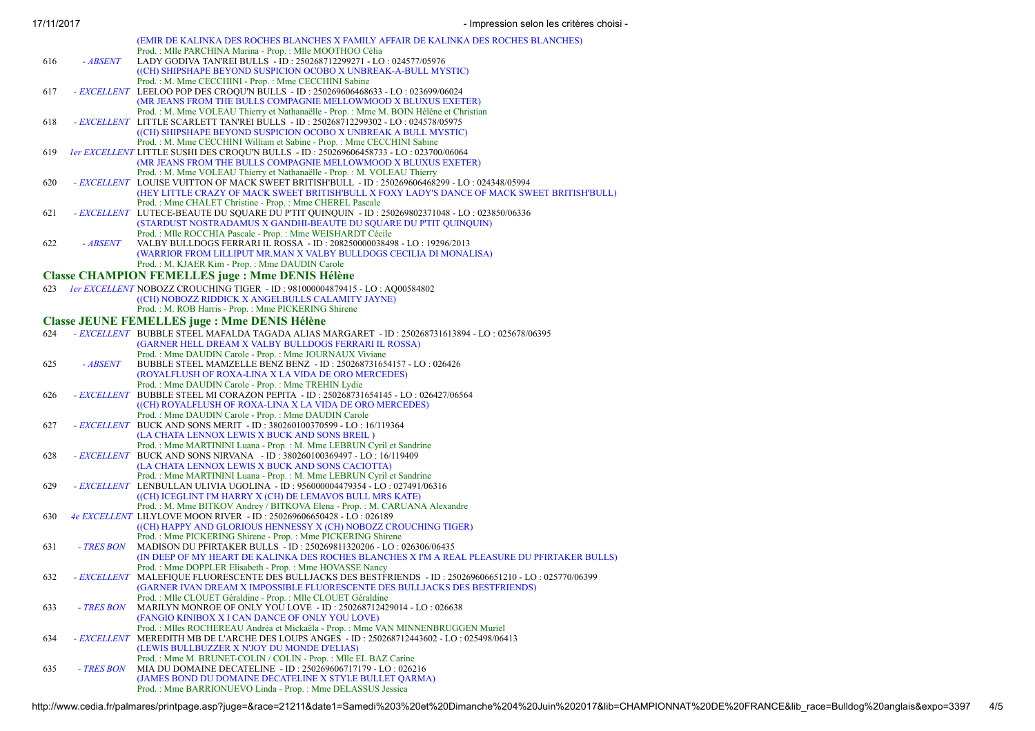|     |            | Prod.: Mlle PARCHINA Marina - Prop.: Mlle MOOTHOO Célia                                                   |
|-----|------------|-----------------------------------------------------------------------------------------------------------|
| 616 | - ABSENT   | LADY GODIVA TAN'REI BULLS - ID: 250268712299271 - LO: 024577/05976                                        |
|     |            | ((CH) SHIPSHAPE BEYOND SUSPICION OCOBO X UNBREAK-A-BULL MYSTIC)                                           |
|     |            | Prod.: M. Mme CECCHINI - Prop.: Mme CECCHINI Sabine                                                       |
| 617 |            | - EXCELLENT LEELOO POP DES CROQU'N BULLS - ID : 250269606468633 - LO : 023699/06024                       |
|     |            | (MR JEANS FROM THE BULLS COMPAGNIE MELLOWMOOD X BLUXUS EXETER)                                            |
|     |            | Prod.: M. Mme VOLEAU Thierry et Nathanaëlle - Prop.: Mme M. BOIN Hélène et Christian                      |
| 618 |            | - EXCELLENT LITTLE SCARLETT TAN'REI BULLS - ID: 250268712299302 - LO: 024578/05975                        |
|     |            | ((CH) SHIPSHAPE BEYOND SUSPICION OCOBO X UNBREAK A BULL MYSTIC)                                           |
|     |            | Prod.: M. Mme CECCHINI William et Sabine - Prop.: Mme CECCHINI Sabine                                     |
| 619 |            | <i>ler EXCELLENT</i> LITTLE SUSHI DES CROQU'N BULLS - ID: 250269606458733 - LO: 023700/06064              |
|     |            | (MR JEANS FROM THE BULLS COMPAGNIE MELLOWMOOD X BLUXUS EXETER)                                            |
|     |            |                                                                                                           |
|     |            | Prod.: M. Mme VOLEAU Thierry et Nathanaëlle - Prop.: M. VOLEAU Thierry                                    |
| 620 |            | - EXCELLENT LOUISE VUITTON OF MACK SWEET BRITISH'BULL - ID: 250269606468299 - LO: 024348/05994            |
|     |            | (HEY LITTLE CRAZY OF MACK SWEET BRITISH'BULL X FOXY LADY'S DANCE OF MACK SWEET BRITISH'BULL)              |
|     |            | Prod.: Mme CHALET Christine - Prop.: Mme CHEREL Pascale                                                   |
| 621 |            | - EXCELLENT LUTECE-BEAUTE DU SQUARE DU P'TIT QUINQUIN - ID : 250269802371048 - LO : 023850/06336          |
|     |            | (STARDUST NOSTRADAMUS X GANDHI-BEAUTE DU SQUARE DU P'TIT QUINQUIN)                                        |
|     |            | Prod.: Mlle ROCCHIA Pascale - Prop.: Mme WEISHARDT Cécile                                                 |
| 622 | - ABSENT   | VALBY BULLDOGS FERRARI IL ROSSA - ID : 208250000038498 - LO : 19296/2013                                  |
|     |            | (WARRIOR FROM LILLIPUT MR.MAN X VALBY BULLDOGS CECILIA DI MONALISA)                                       |
|     |            | Prod.: M. KJAER Kim - Prop.: Mme DAUDIN Carole                                                            |
|     |            | <b>Classe CHAMPION FEMELLES juge: Mme DENIS Hélène</b>                                                    |
| 623 |            | 1er EXCELLENT NOBOZZ CROUCHING TIGER - ID: 981000004879415 - LO: AQ00584802                               |
|     |            | ((CH) NOBOZZ RIDDICK X ANGELBULLS CALAMITY JAYNE)                                                         |
|     |            | Prod.: M. ROB Harris - Prop.: Mme PICKERING Shirene                                                       |
|     |            |                                                                                                           |
|     |            | <b>Classe JEUNE FEMELLES juge : Mme DENIS Hélène</b>                                                      |
| 624 |            | - EXCELLENT BUBBLE STEEL MAFALDA TAGADA ALIAS MARGARET - ID: 250268731613894 - LO: 025678/06395           |
|     |            | (GARNER HELL DREAM X VALBY BULLDOGS FERRARI IL ROSSA)                                                     |
|     |            | Prod.: Mme DAUDIN Carole - Prop.: Mme JOURNAUX Viviane                                                    |
| 625 | - ABSENT   | BUBBLE STEEL MAMZELLE BENZ BENZ - ID: 250268731654157 - LO: 026426                                        |
|     |            | (ROYALFLUSH OF ROXA-LINA X LA VIDA DE ORO MERCEDES)                                                       |
|     |            | Prod.: Mme DAUDIN Carole - Prop.: Mme TREHIN Lydie                                                        |
| 626 |            | - EXCELLENT BUBBLE STEEL MI CORAZON PEPITA - ID: 250268731654145 - LO: 026427/06564                       |
|     |            | ((CH) ROYALFLUSH OF ROXA-LINA X LA VIDA DE ORO MERCEDES)                                                  |
|     |            | Prod.: Mme DAUDIN Carole - Prop.: Mme DAUDIN Carole                                                       |
| 627 |            | - EXCELLENT BUCK AND SONS MERIT - ID: 380260100370599 - LO: 16/119364                                     |
|     |            | (LA CHATA LENNOX LEWIS X BUCK AND SONS BREIL)                                                             |
|     |            | Prod.: Mme MARTININI Luana - Prop.: M. Mme LEBRUN Cyril et Sandrine                                       |
| 628 |            | - <i>EXCELLENT</i> BUCK AND SONS NIRVANA - ID: 380260100369497 - LO: 16/119409                            |
|     |            | (LA CHATA LENNOX LEWIS X BUCK AND SONS CACIOTTA)                                                          |
|     |            | Prod.: Mme MARTININI Luana - Prop.: M. Mme LEBRUN Cyril et Sandrine                                       |
| 629 |            | - $EXCELLENT$ LENBULLAN ULIVIA UGOLINA - ID: 956000004479354 - LO: 027491/06316                           |
|     |            | ((CH) ICEGLINT I'M HARRY X (CH) DE LEMAVOS BULL MRS KATE)                                                 |
|     |            | Prod.: M. Mme BITKOV Andrey / BITKOVA Elena - Prop.: M. CARUANA Alexandre                                 |
| 630 |            | 4e EXCELLENT LILYLOVE MOON RIVER - ID: 250269606650428 - LO: 026189                                       |
|     |            | ((CH) HAPPY AND GLORIOUS HENNESSY X (CH) NOBOZZ CROUCHING TIGER)                                          |
|     |            | Prod.: Mme PICKERING Shirene - Prop.: Mme PICKERING Shirene                                               |
| 631 | - TRES BON | MADISON DU PFIRTAKER BULLS - ID: 250269811320206 - LO: 026306/06435                                       |
|     |            | (IN DEEP OF MY HEART DE KALINKA DES ROCHES BLANCHES X I'M A REAL PLEASURE DU PFIRTAKER BULLS)             |
|     |            | Prod.: Mme DOPPLER Elisabeth - Prop.: Mme HOVASSE Nancy                                                   |
| 632 |            |                                                                                                           |
|     |            | - EXCELLENT MALEFIQUE FLUORESCENTE DES BULLJACKS DES BESTFRIENDS - ID: 250269606651210 - LO: 025770/06399 |
|     |            | (GARNER IVAN DREAM X IMPOSSIBLE FLUORESCENTE DES BULLJACKS DES BESTFRIENDS)                               |
|     |            | Prod. : Mlle CLOUET Géraldine - Prop. : Mlle CLOUET Géraldine                                             |
| 633 | - TRES BON | MARILYN MONROE OF ONLY YOU LOVE - ID: 250268712429014 - LO: 026638                                        |
|     |            | (FANGIO KINIBOX X I CAN DANCE OF ONLY YOU LOVE)                                                           |
|     |            | Prod.: Milles ROCHEREAU Andréa et Mickaëla - Prop.: Mme VAN MINNENBRUGGEN Muriel                          |
| 634 |            | - EXCELLENT MEREDITH MB DE L'ARCHE DES LOUPS ANGES - ID : 250268712443602 - LO : 025498/06413             |
|     |            | (LEWIS BULLBUZZER X N'JOY DU MONDE D'ELIAS)                                                               |
|     |            | Prod.: Mme M. BRUNET-COLIN / COLIN - Prop.: Mlle EL BAZ Carine                                            |
| 635 | - TRES BON | MIA DU DOMAINE DECATELINE - ID: 250269606717179 - LO: 026216                                              |
|     |            | (JAMES BOND DU DOMAINE DECATELINE X STYLE BULLET QARMA)                                                   |
|     |            | Prod.: Mme BARRIONUEVO Linda - Prop.: Mme DELASSUS Jessica                                                |
|     |            |                                                                                                           |

(EMIR DE KALINKA DES ROCHES BLANCHES X FAMILY AFFAIR DE KALINKA DES ROCHES BLANCHES)